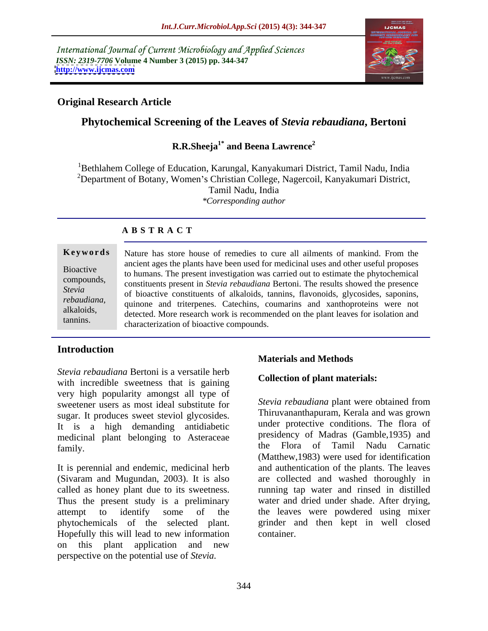International Journal of Current Microbiology and Applied Sciences *ISSN: 2319-7706* **Volume 4 Number 3 (2015) pp. 344-347 <http://www.ijcmas.com>**



# **Original Research Article**

# **Phytochemical Screening of the Leaves of** *Stevia rebaudiana***, Bertoni**

### **R.R.Sheeja1\* and Beena Lawrence<sup>2</sup>**

<sup>1</sup>Bethlahem College of Education, Karungal, Kanyakumari District, Tamil Nadu, India <sup>2</sup>Department of Botany, Women's Christian College, Nagercoil, Kanyakumari District, Tamil Nadu, India *\*Corresponding author*

## **A B S T R A C T**

tannins.

**Keywords** Nature has store house of remedies to cure all ailments of mankind. From the ancient ages the plants have been used for medicinal uses and other useful proposes Bioactive<br>to humans. The present investigation was carried out to estimate the phytochemical compounds,<br>
constituents present in *Stevia rebaudiana* Bertoni. The results showed the presence of bioactive constituents of alkaloids, tannins, flavonoids, glycosides, saponins, *Stevia*  quinone and triterpenes. Catechins, coumarins and xanthoproteins were not *rebaudiana,*  detected. More research work is recommended on the plant leaves for isolation and the plant leaves for isolation and characterization of bioactive compounds.

# **Introduction**

*Stevia rebaudiana* Bertoni is a versatile herb with incredible sweetness that is gaining very high popularity amongst all type of sweetener users as most ideal substitute for sugar. It produces sweet steviol glycosides. It is a high demanding antidiabetic medicinal plant belonging to Asteraceae

It is perennial and endemic, medicinal herb and authentication of the plants. The leaves (Sivaram and Mugundan, 2003). It is also called as honey plant due to its sweetness. Thus the present study is a preliminary water and dried under shade. After drying, attempt to identify some of the the leaves were powdered using mixer phytochemicals of the selected plant. grinder and then kept in well closed Hopefully this will lead to new information on this plant application and new perspective on the potential use of *Stevia.*

# **Materials and Methods**

### **Collection of plant materials:**

family. The Flora of Tamil Nadu Carnatic state of the Flora of Tamil Nadu Carnatic *Stevia rebaudiana* plant were obtained from Thiruvananthapuram, Kerala and was grown under protective conditions. The flora of presidency of Madras (Gamble,1935) and (Matthew,1983) were used for identification are collected and washed thoroughly in running tap water and rinsed in distilled container.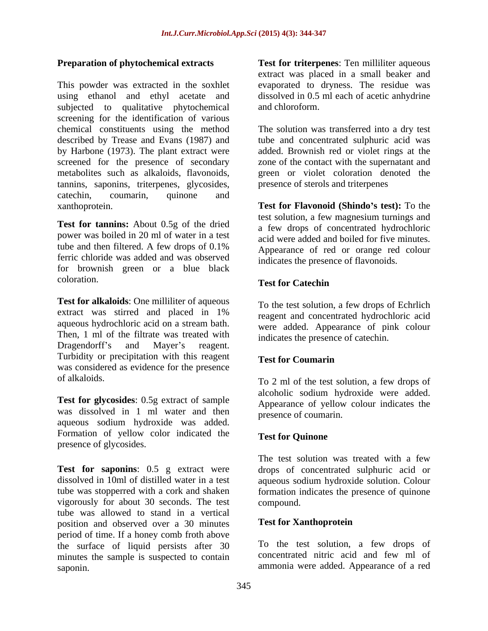This powder was extracted in the soxhlet evaporated to dryness. The residue was using ethanol and ethyl acetate and subjected to qualitative phytochemical and chloroform. screening for the identification of various chemical constituents using the method The solution was transferred into a dry test described by Trease and Evans (1987) and tube and concentrated sulphuric acid was by Harbone (1973). The plant extract were screened for the presence of secondary metabolites such as alkaloids, flavonoids, green or violet coloration denoted the tannins, saponins, triterpenes, glycosides, catechin, coumarin, quinone and

**Test for tannins:** About 0.5g of the dried power was boiled in 20 ml of water in a test tube and then filtered. A few drops of  $0.1\%$  Appearance of red or orange red colour ferric chloride was added and was observed for brownish green or a blue black coloration. Test for Catechin

**Test for alkaloids**: One milliliter of aqueous extract was stirred and placed in 1% aqueous hydrochloric acid on a stream bath. Then, 1 ml of the filtrate was treated with Dragendorff's and Mayer's reagent. Turbidity or precipitation with this reagent Test for Coumarin was considered as evidence for the presence

**Test for glycosides**: 0.5g extract of sample was dissolved in 1 ml water and then aqueous sodium hydroxide was added. Formation of yellow color indicated the Test for Quinone presence of glycosides.

**Test for saponins**: 0.5 g extract were drops of concentrated sulphuric acid or dissolved in 10ml of distilled water in a test aqueous sodium hydroxide solution. Colour tube was stopperred with a cork and shaken formation indicates the presence of quinone vigorously for about 30 seconds. The test tube was allowed to stand in a vertical<br>
position and observed over a 30 minutes **Test for Xanthoprotein** position and observed over a30 minutes period of time. If a honey comb froth above the surface of liquid persists after 30 To the test solution, a few drops of minutes the sample is suspected to contain minutes the sample is suspected to contain saponin. ammonia were added. Appearance of a red

**Preparation of phytochemical extracts Test for triterpenes**: Ten milliliter aqueous extract was placed in a small beaker and dissolved in 0.5 ml each of acetic anhydrine and chloroform.

> added. Brownish red or violet rings at the zone of the contact with the supernatant and presence of sterols and triterpenes

xanthoprotein. **Test for Flavonoid (Shindo s test):** To the test solution, a few magnesium turnings and a few drops of concentrated hydrochloric acid were added and boiled for five minutes. Appearance of red or orange red colour indicates the presence of flavonoids.

# **Test for Catechin**

To the test solution, a few drops of Echrlich reagent and concentrated hydrochloric acid were added. Appearance of pink colour indicates the presence of catechin.

# **Test for Coumarin**

of alkaloids. To 2 ml of the test solution, a few drops of alcoholic sodium hydroxide were added. Appearance of yellow colour indicates the presence of coumarin.

# **Test for Quinone**

The test solution was treated with a few compound.

# **Test for Xanthoprotein**

To the test solution, a few drops of concentrated nitric acid and few ml of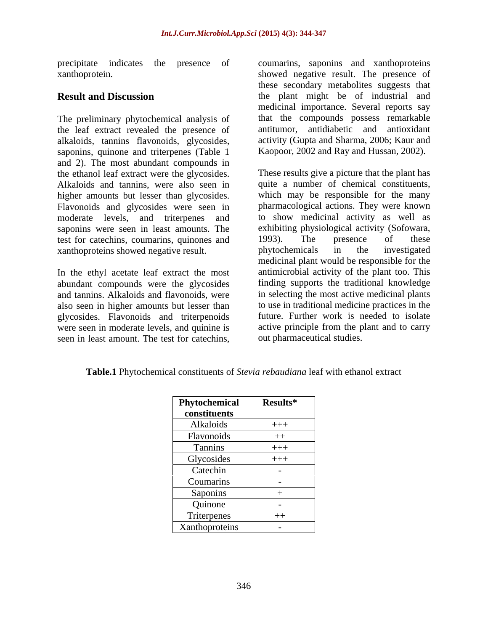precipitate indicates the presence of coumarins, saponins and xanthoproteins

the leaf extract revealed the presence of alkaloids, tannins flavonoids, glycosides, saponins, quinone and triterpenes (Table 1 and 2). The most abundant compounds in the ethanol leaf extract were the glycosides. higher amounts but lesser than glycosides. Flavonoids and glycosides were seen in moderate levels, and triterpenes and saponins were seen in least amounts. The test for catechins, coumarins, quinones and 1993). The presence of these<br>xanthoproteins showed negative result. by phytochemicals in the investigated xanthoproteins showed negative result.

In the ethyl acetate leaf extract the most abundant compounds were the glycosides and tannins. Alkaloids and flavonoids, were also seen in higher amounts but lesser than glycosides. Flavonoids and triterpenoids were seen in moderate levels, and quinine is

xanthoprotein. showed negative result. The presence of **Result and Discussion** the plant might be of industrial and The preliminary phytochemical analysis of that the compounds possess remarkable these secondary metabolites suggests that medicinal importance. Several reports say antitumor, antidiabetic and antioxidant activity (Gupta and Sharma, 2006; Kaur and Kaopoor, 2002 and Ray and Hussan, 2002).

Alkaloids and tannins, were also seen in quite a number of chemical constituents, precipite indicates the presence of coumaring, saponins and xanthoproteins.<br>
stamulanportonics, these secondary metabolites suggests that<br>
The presence of the parameterins of the parameterins are secondary metabolites sugg These results give a picture that the plant has which may be responsible for the many pharmacological actions. They were known to show medicinal activity as well as exhibiting physiological activity (Sofowara, 1993). The presence of these phytochemicals in the investigated medicinal plant would be responsible for the antimicrobial activity of the plant too. This finding supports the traditional knowledge in selecting the most active medicinal plants to use in traditional medicine practices in the future. Further work is needed to isolate active principle from the plant and to carry out pharmaceutical studies.

**Table.1** Phytochemical constituents of *Stevia rebaudiana* leaf with ethanol extract

| Phytochemical  | Results*                 |
|----------------|--------------------------|
| constituents   |                          |
| Alkaloids      | $+++$                    |
| Flavonoids     | $++$                     |
| Tannins        | $+++$                    |
| Glycosides     | $+++$                    |
| Catechin       |                          |
| Coumarins      |                          |
| Saponins       |                          |
| Quinone        | $\sim$                   |
| Triterpenes    | $++$                     |
| Xanthoproteins | $\overline{\phantom{0}}$ |